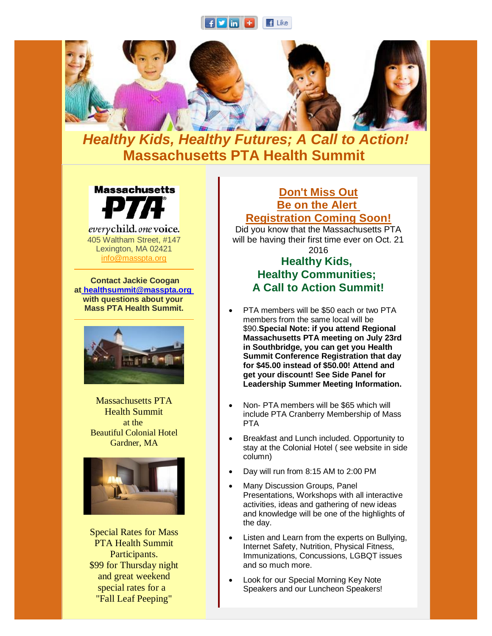



## *Healthy Kids, Healthy Futures; A Call to Action!* **Massachusetts PTA Health Summit**



everychild. one voice. 405 Waltham Street, #147 Lexington, MA 02421 [info@masspta.org](mailto:info@masspta.org)

**Contact Jackie Coogan at [healthsummit@masspta.org](mailto:healthsummit@masspta.org) with questions about your Mass PTA Health Summit.**



Massachusetts PTA Health Summit at the Beautiful Colonial Hotel Gardner, MA



Special Rates for Mass PTA Health Summit Participants. \$99 for Thursday night and great weekend special rates for a "Fall Leaf Peeping"

## **Don't Miss Out Be on the Alert Registration Coming Soon!**

Did you know that the Massachusetts PTA will be having their first time ever on Oct. 21 2016

## **Healthy Kids, Healthy Communities; A Call to Action Summit!**

- PTA members will be \$50 each or two PTA members from the same local will be \$90.**Special Note: if you attend Regional Massachusetts PTA meeting on July 23rd in Southbridge, you can get you Health Summit Conference Registration that day for \$45.00 instead of \$50.00! Attend and get your discount! See Side Panel for Leadership Summer Meeting Information.**
- Non- PTA members will be \$65 which will include PTA Cranberry Membership of Mass PTA
- Breakfast and Lunch included. Opportunity to stay at the Colonial Hotel ( see website in side column)
- Day will run from 8:15 AM to 2:00 PM
- Many Discussion Groups, Panel Presentations, Workshops with all interactive activities, ideas and gathering of new ideas and knowledge will be one of the highlights of the day.
- Listen and Learn from the experts on Bullying, Internet Safety, Nutrition, Physical Fitness, Immunizations, Concussions, LGBQT issues and so much more.
- Look for our Special Morning Key Note Speakers and our Luncheon Speakers!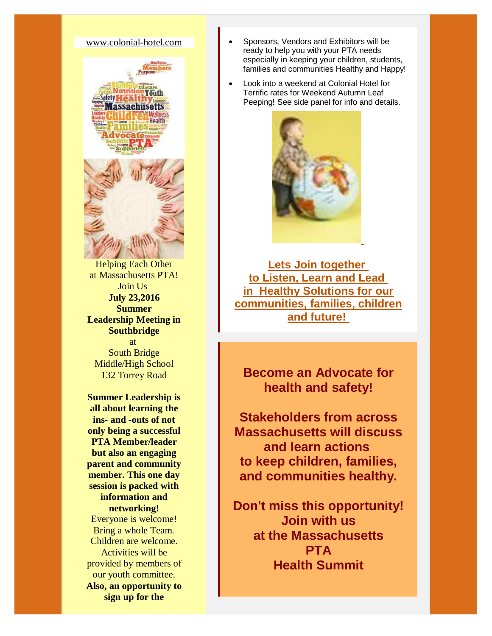## [www.colonial-hotel.com](http://r20.rs6.net/tn.jsp?f=001B0KgaNHyz7yCgolcLBG3kVROkulZuuCzILCooz_2roGALBVpmy1wKsDdrbmBRWnkhDFWZMnaw6_NAq4utz_axmYqmlcLmk6OnPoyaKA8pmcT_BbId13X80UxGPAVE2SyelolzZgD0jvloThzGGAVRiMTBB97B2tt8vVNDvjiU3TP5VoWjYFUng==&c=PE15W1QJGITw_V9RnDf2dH409OScuSNXtS-qJGWWmS3Pu4TInXEqKQ==&ch=Nr07drJkIBWzMZ30fRVaB_jFpTyjfZI8nHuQnEgFr6kbPEtrwAskdQ==)



Helping Each Other at Massachusetts PTA! Join Us **July 23,2016 Summer Leadership Meeting in Southbridge** at South Bridge Middle/High School 132 Torrey Road

**Summer Leadership is all about learning the ins- and -outs of not only being a successful PTA Member/leader but also an engaging parent and community member. This one day session is packed with information and networking!** Everyone is welcome! Bring a whole Team. Children are welcome. Activities will be provided by members of our youth committee. **Also, an opportunity to sign up for the** 

- Sponsors, Vendors and Exhibitors will be ready to help you with your PTA needs especially in keeping your children, students, families and communities Healthy and Happy!
- Look into a weekend at Colonial Hotel for Terrific rates for Weekend Autumn Leaf Peeping! See side panel for info and details.



**Lets Join together to Listen, Learn and Lead in Healthy Solutions for our communities, families, children and future!**

**Become an Advocate for health and safety!**

**Stakeholders from across Massachusetts will discuss and learn actions to keep children, families, and communities healthy.**

**Don't miss this opportunity! Join with us at the Massachusetts PTA Health Summit**